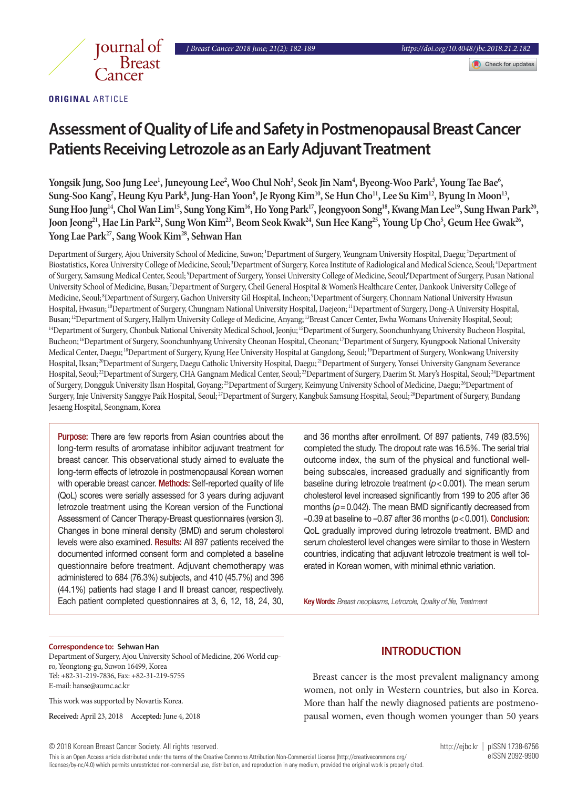

**ORIGINAL** ARTICLE

# **Assessment of Quality of Life and Safety in Postmenopausal Breast Cancer Patients Receiving Letrozole as an Early Adjuvant Treatment**

**Yongsik Jung, Soo Jung Lee1 , Juneyoung Lee2 , Woo Chul Noh3 , Seok Jin Nam4 , Byeong-Woo Park5 , Young Tae Bae6 ,**  Sung-Soo Kang<sup>7</sup>, Heung Kyu Park<sup>8</sup>, Jung-Han Yoon<sup>9</sup>, Je Ryong Kim<sup>10</sup>, Se Hun Cho<sup>11</sup>, Lee Su Kim<sup>12</sup>, Byung In Moon<sup>13</sup>, Sung Hoo Jung<sup>14</sup>, Chol Wan Lim<sup>15</sup>, Sung Yong Kim<sup>16</sup>, Ho Yong Park<sup>17</sup>, Jeongyoon Song<sup>18</sup>, Kwang Man Lee<sup>19</sup>, Sung Hwan Park<sup>20</sup>, Joon Jeong<sup>21</sup>, Hae Lin Park<sup>22</sup>, Sung Won Kim<sup>23</sup>, Beom Seok Kwak<sup>24</sup>, Sun Hee Kang<sup>25</sup>, Young Up Cho<sup>5</sup>, Geum Hee Gwak<sup>26</sup>, Yong Lae Park<sup>27</sup>, Sang Wook Kim<sup>28</sup>, Sehwan Han

Department of Surgery, Ajou University School of Medicine, Suwon; 1Department of Surgery, Yeungnam University Hospital, Daegu; 2Department of Biostatistics, Korea University College of Medicine, Seoul;<sup>3</sup>Department of Surgery, Korea Institute of Radiological and Medical Science, Seoul;<sup>4</sup>Department of Surgery, Samsung Medical Center, Seoul; 5Department of Surgery, Yonsei University College of Medicine, Seoul; 5Department of Surgery, Pusan National University School of Medicine, Busan; 7Department of Surgery, Cheil General Hospital & Women's Healthcare Center, Dankook University College of Medicine, Seoul; 8Department of Surgery, Gachon University Gil Hospital, Incheon; 9Department of Surgery, Chonnam National University Hwasun Hospital, Hwasun; <sup>10</sup>Department of Surgery, Chungnam National University Hospital, Daejeon; <sup>11</sup>Department of Surgery, Dong-A University Hospital, Busan; 12Department of Surgery, Hallym University College of Medicine, Anyang; 13Breast Cancer Center, Ewha Womans University Hospital, Seoul; <sup>14</sup>Department of Surgery, Chonbuk National University Medical School, Jeonju; <sup>15</sup>Department of Surgery, Soonchunhyang University Bucheon Hospital, Bucheon; 16Department of Surgery, Soonchunhyang University Cheonan Hospital, Cheonan; 17Department of Surgery, Kyungpook National University Medical Center, Daegu; 18Department of Surgery, Kyung Hee University Hospital at Gangdong, Seoul; 19Department of Surgery, Wonkwang University Hospital, Iksan; 20Department of Surgery, Daegu Catholic University Hospital, Daegu; 21Department of Surgery, Yonsei University Gangnam Severance Hospital, Seoul;<sup>22</sup>Department of Surgery, CHA Gangnam Medical Center, Seoul;<sup>23</sup>Department of Surgery, Daerim St. Mary's Hospital, Seoul;<sup>24</sup>Department of Surgery, Dongguk University Ilsan Hospital, Goyang;<sup>25</sup>Department of Surgery, Keimyung University School of Medicine, Daegu;<sup>26</sup>Department of Surgery, Inje University Sanggye Paik Hospital, Seoul;<sup>27</sup>Department of Surgery, Kangbuk Samsung Hospital, Seoul;<sup>28</sup>Department of Surgery, Bundang Jesaeng Hospital, Seongnam, Korea

Purpose: There are few reports from Asian countries about the long-term results of aromatase inhibitor adjuvant treatment for breast cancer. This observational study aimed to evaluate the long-term effects of letrozole in postmenopausal Korean women with operable breast cancer. **Methods:** Self-reported quality of life (QoL) scores were serially assessed for 3 years during adjuvant letrozole treatment using the Korean version of the Functional Assessment of Cancer Therapy-Breast questionnaires (version 3). Changes in bone mineral density (BMD) and serum cholesterol levels were also examined. Results: All 897 patients received the documented informed consent form and completed a baseline questionnaire before treatment. Adjuvant chemotherapy was administered to 684 (76.3%) subjects, and 410 (45.7%) and 396 (44.1%) patients had stage I and II breast cancer, respectively. Each patient completed questionnaires at 3, 6, 12, 18, 24, 30,

and 36 months after enrollment. Of 897 patients, 749 (83.5%) completed the study. The dropout rate was 16.5%. The serial trial outcome index, the sum of the physical and functional wellbeing subscales, increased gradually and significantly from baseline during letrozole treatment (*p*<0.001). The mean serum cholesterol level increased significantly from 199 to 205 after 36 months ( $p = 0.042$ ). The mean BMD significantly decreased from –0.39 at baseline to –0.87 after 36 months (*p*<0.001). Conclusion: QoL gradually improved during letrozole treatment. BMD and serum cholesterol level changes were similar to those in Western countries, indicating that adjuvant letrozole treatment is well tolerated in Korean women, with minimal ethnic variation.

Key Words: *Breast neoplasms, Letrozole, Quality of life, Treatment*

#### **Correspondence to: Sehwan Han**

Department of Surgery, Ajou University School of Medicine, 206 World cupro, Yeongtong-gu, Suwon 16499, Korea Tel: +82-31-219-7836, Fax: +82-31-219-5755 E-mail: hanse@aumc.ac.kr

This work was supported by Novartis Korea.

**Received:** April 23, 2018 **Accepted:** June 4, 2018

## **INTRODUCTION**

Breast cancer is the most prevalent malignancy among women, not only in Western countries, but also in Korea. More than half the newly diagnosed patients are postmenopausal women, even though women younger than 50 years

© 2018 Korean Breast Cancer Society. All rights reserved. http://ejbc.kr | pISSN 1738-6756

This is an Open Access article distributed under the terms of the Creative Commons Attribution Non-Commercial License (http://creativecommons.org/ eISSN 2092-9900 licenses/by-nc/4.0) which permits unrestricted non-commercial use, distribution, and reproduction in any medium, provided the original work is properly cited.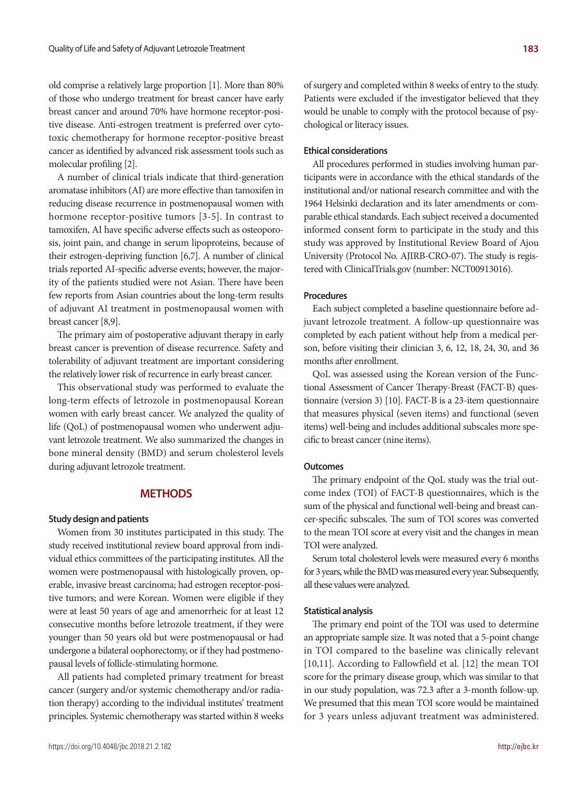old comprise a relatively large proportion [1]. More than 80% of those who undergo treatment for breast cancer have early breast cancer and around 70% have hormone receptor-positive disease. Anti-estrogen treatment is preferred over cytotoxic chemotherapy for hormone receptor-positive breast cancer as identified by advanced risk assessment tools such as molecular profiling [2].

A number of clinical trials indicate that third-generation aromatase inhibitors (AI) are more effective than tamoxifen in reducing disease recurrence in postmenopausal women with hormone receptor-positive tumors [3-5]. In contrast to tamoxifen, AI have specific adverse effects such as osteoporosis, joint pain, and change in serum lipoproteins, because of their estrogen-depriving function [6,7]. A number of clinical trials reported AI-specific adverse events; however, the majority of the patients studied were not Asian. There have been few reports from Asian countries about the long-term results of adjuvant AI treatment in postmenopausal women with breast cancer [8,9].

The primary aim of postoperative adjuvant therapy in early breast cancer is prevention of disease recurrence. Safety and tolerability of adjuvant treatment are important considering the relatively lower risk of recurrence in early breast cancer.

This observational study was performed to evaluate the long-term effects of letrozole in postmenopausal Korean women with early breast cancer. We analyzed the quality of life (QoL) of postmenopausal women who underwent adjuvant letrozole treatment. We also summarized the changes in bone mineral density (BMD) and serum cholesterol levels during adjuvant letrozole treatment.

## **METHODS**

#### **Study design and patients**

Women from 30 institutes participated in this study. The study received institutional review board approval from individual ethics committees of the participating institutes. All the women were postmenopausal with histologically proven, operable, invasive breast carcinoma; had estrogen receptor-positive tumors; and were Korean. Women were eligible if they were at least 50 years of age and amenorrheic for at least 12 consecutive months before letrozole treatment, if they were younger than 50 years old but were postmenopausal or had undergone a bilateral oophorectomy, or if they had postmenopausal levels of follicle-stimulating hormone.

All patients had completed primary treatment for breast cancer (surgery and/or systemic chemotherapy and/or radiation therapy) according to the individual institutes' treatment principles. Systemic chemotherapy was started within 8 weeks of surgery and completed within 8 weeks of entry to the study. Patients were excluded if the investigator believed that they would be unable to comply with the protocol because of psychological or literacy issues.

#### **Ethical considerations**

All procedures performed in studies involving human participants were in accordance with the ethical standards of the institutional and/or national research committee and with the 1964 Helsinki declaration and its later amendments or comparable ethical standards. Each subject received a documented informed consent form to participate in the study and this study was approved by Institutional Review Board of Ajou University (Protocol No. AJIRB-CRO-07). The study is registered with ClinicalTrials.gov (number: NCT00913016).

#### **Procedures**

Each subject completed a baseline questionnaire before adjuvant letrozole treatment. A follow-up questionnaire was completed by each patient without help from a medical person, before visiting their clinician 3, 6, 12, 18, 24, 30, and 36 months after enrollment.

QoL was assessed using the Korean version of the Functional Assessment of Cancer Therapy-Breast (FACT-B) questionnaire (version 3) [10]. FACT-B is a 23-item questionnaire that measures physical (seven items) and functional (seven items) well-being and includes additional subscales more specific to breast cancer (nine items).

#### **Outcomes**

The primary endpoint of the QoL study was the trial outcome index (TOI) of FACT-B questionnaires, which is the sum of the physical and functional well-being and breast cancer-specific subscales. The sum of TOI scores was converted to the mean TOI score at every visit and the changes in mean TOI were analyzed.

Serum total cholesterol levels were measured every 6 months for 3 years, while the BMD was measured every year. Subsequently, all these values were analyzed.

#### **Statistical analysis**

The primary end point of the TOI was used to determine an appropriate sample size. It was noted that a 5-point change in TOI compared to the baseline was clinically relevant [10,11]. According to Fallowfield et al. [12] the mean TOI score for the primary disease group, which was similar to that in our study population, was 72.3 after a 3-month follow-up. We presumed that this mean TOI score would be maintained for 3 years unless adjuvant treatment was administered.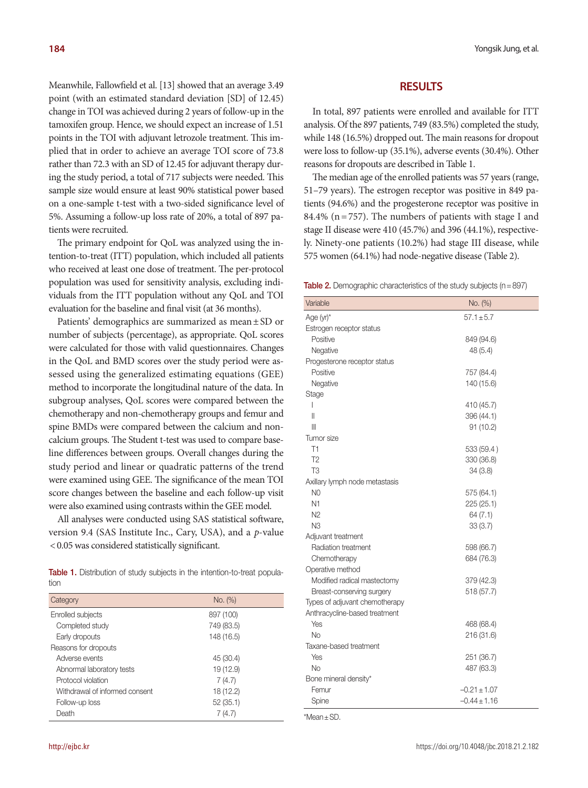Meanwhile, Fallowfield et al. [13] showed that an average 3.49 point (with an estimated standard deviation [SD] of 12.45) change in TOI was achieved during 2 years of follow-up in the tamoxifen group. Hence, we should expect an increase of 1.51 points in the TOI with adjuvant letrozole treatment. This implied that in order to achieve an average TOI score of 73.8 rather than 72.3 with an SD of 12.45 for adjuvant therapy during the study period, a total of 717 subjects were needed. This sample size would ensure at least 90% statistical power based on a one-sample t-test with a two-sided significance level of 5%. Assuming a follow-up loss rate of 20%, a total of 897 patients were recruited.

The primary endpoint for QoL was analyzed using the intention-to-treat (ITT) population, which included all patients who received at least one dose of treatment. The per-protocol population was used for sensitivity analysis, excluding individuals from the ITT population without any QoL and TOI evaluation for the baseline and final visit (at 36 months).

Patients' demographics are summarized as mean ± SD or number of subjects (percentage), as appropriate. QoL scores were calculated for those with valid questionnaires. Changes in the QoL and BMD scores over the study period were assessed using the generalized estimating equations (GEE) method to incorporate the longitudinal nature of the data. In subgroup analyses, QoL scores were compared between the chemotherapy and non-chemotherapy groups and femur and spine BMDs were compared between the calcium and noncalcium groups. The Student t-test was used to compare baseline differences between groups. Overall changes during the study period and linear or quadratic patterns of the trend were examined using GEE. The significance of the mean TOI score changes between the baseline and each follow-up visit were also examined using contrasts within the GEE model.

All analyses were conducted using SAS statistical software, version 9.4 (SAS Institute Inc., Cary, USA), and a *p*-value < 0.05 was considered statistically significant.

Table 1. Distribution of study subjects in the intention-to-treat population

| Category                       | No. (%)    |
|--------------------------------|------------|
| Enrolled subjects              | 897 (100)  |
| Completed study                | 749 (83.5) |
| Early dropouts                 | 148 (16.5) |
| Reasons for dropouts           |            |
| Adverse events                 | 45 (30.4)  |
| Abnormal laboratory tests      | 19 (12.9)  |
| Protocol violation             | 7(4.7)     |
| Withdrawal of informed consent | 18 (12.2)  |
| Follow-up loss                 | 52(35.1)   |
| Death                          | 7 (4.7)    |

## **RESULTS**

In total, 897 patients were enrolled and available for ITT analysis. Of the 897 patients, 749 (83.5%) completed the study, while 148 (16.5%) dropped out. The main reasons for dropout were loss to follow-up (35.1%), adverse events (30.4%). Other reasons for dropouts are described in Table 1.

The median age of the enrolled patients was 57 years (range, 51–79 years). The estrogen receptor was positive in 849 patients (94.6%) and the progesterone receptor was positive in 84.4% ( $n = 757$ ). The numbers of patients with stage I and stage II disease were 410 (45.7%) and 396 (44.1%), respectively. Ninety-one patients (10.2%) had stage III disease, while 575 women (64.1%) had node-negative disease (Table 2).

**Table 2.** Demographic characteristics of the study subjects ( $n=897$ )

| Variable                       | No. (%)          |
|--------------------------------|------------------|
| Age (yr)*                      | $57.1 + 5.7$     |
| Estrogen receptor status       |                  |
| Positive                       | 849 (94.6)       |
| Negative                       | 48 (5.4)         |
| Progesterone receptor status   |                  |
| Positive                       | 757 (84.4)       |
| Negative                       | 140 (15.6)       |
| Stage                          |                  |
| I                              | 410 (45.7)       |
| Ш                              | 396 (44.1)       |
| Ш                              | 91 (10.2)        |
| Tumor size                     |                  |
| T1                             | 533 (59.4)       |
| T2                             | 330 (36.8)       |
| T <sub>3</sub>                 | 34(3.8)          |
| Axillary lymph node metastasis |                  |
| N <sub>0</sub>                 | 575 (64.1)       |
| N <sub>1</sub>                 | 225 (25.1)       |
| N <sub>2</sub>                 | 64(7.1)          |
| N <sub>3</sub>                 | 33(3.7)          |
| Adjuvant treatment             |                  |
| Radiation treatment            | 598 (66.7)       |
| Chemotherapy                   | 684 (76.3)       |
| Operative method               |                  |
| Modified radical mastectomy    | 379 (42.3)       |
| Breast-conserving surgery      | 518 (57.7)       |
| Types of adjuvant chemotherapy |                  |
| Anthracycline-based treatment  |                  |
| Yes                            | 468 (68.4)       |
| No                             | 216 (31.6)       |
| Taxane-based treatment         |                  |
| Yes                            | 251 (36.7)       |
| No                             | 487 (63.3)       |
| Bone mineral density*          |                  |
| Femur                          | $-0.21 \pm 1.07$ |
| Spine                          | $-0.44 \pm 1.16$ |

\*Mean±SD.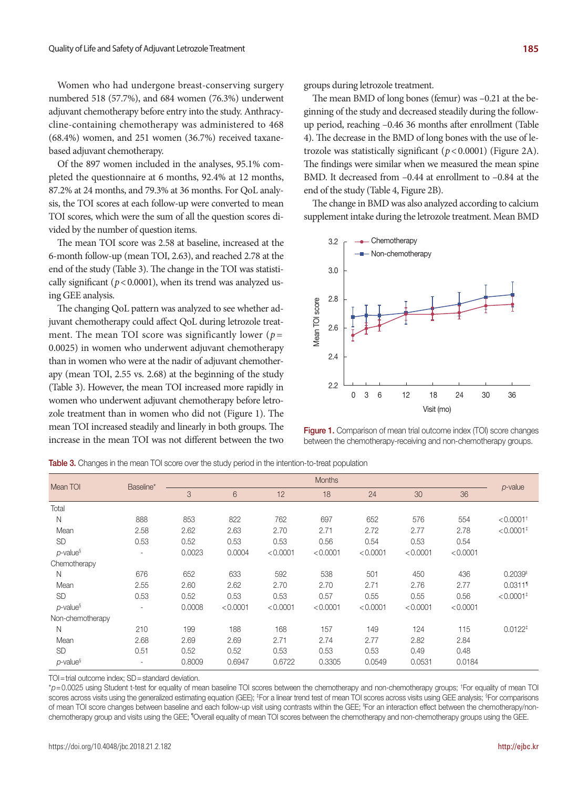Women who had undergone breast-conserving surgery numbered 518 (57.7%), and 684 women (76.3%) underwent adjuvant chemotherapy before entry into the study. Anthracycline-containing chemotherapy was administered to 468 (68.4%) women, and 251 women (36.7%) received taxanebased adjuvant chemotherapy.

Of the 897 women included in the analyses, 95.1% completed the questionnaire at 6 months, 92.4% at 12 months, 87.2% at 24 months, and 79.3% at 36 months. For QoL analysis, the TOI scores at each follow-up were converted to mean TOI scores, which were the sum of all the question scores divided by the number of question items.

The mean TOI score was 2.58 at baseline, increased at the 6-month follow-up (mean TOI, 2.63), and reached 2.78 at the end of the study (Table 3). The change in the TOI was statistically significant ( $p < 0.0001$ ), when its trend was analyzed using GEE analysis.

The changing QoL pattern was analyzed to see whether adjuvant chemotherapy could affect QoL during letrozole treatment. The mean TOI score was significantly lower ( $p=$ 0.0025) in women who underwent adjuvant chemotherapy than in women who were at the nadir of adjuvant chemotherapy (mean TOI, 2.55 vs. 2.68) at the beginning of the study (Table 3). However, the mean TOI increased more rapidly in women who underwent adjuvant chemotherapy before letrozole treatment than in women who did not (Figure 1). The mean TOI increased steadily and linearly in both groups. The increase in the mean TOI was not different between the two groups during letrozole treatment.

The mean BMD of long bones (femur) was –0.21 at the beginning of the study and decreased steadily during the followup period, reaching –0.46 36 months after enrollment (Table 4). The decrease in the BMD of long bones with the use of letrozole was statistically significant (*p*< 0.0001) (Figure 2A). The findings were similar when we measured the mean spine BMD. It decreased from -0.44 at enrollment to -0.84 at the end of the study (Table 4, Figure 2B).

The change in BMD was also analyzed according to calcium supplement intake during the letrozole treatment. Mean BMD



**Figure 1.** Comparison of mean trial outcome index (TOI) score changes between the chemotherapy-receiving and non-chemotherapy groups.

Mean TOI Baseline\* **Months** *p*-value 3 6 12 18 24 30 36 Total N 888 853 822 762 697 652 576 554 <0.0001† Mean 2.58 2.62 2.63 2.70 2.71 2.72 2.77 2.78 <0.0001‡ SD 0.53 0.52 0.53 0.53 0.56 0.54 0.53 0.54 *p*-value§ - 0.0023 0.0004 <0.0001 <0.0001 <0.0001 <0.0001 <0.0001 **Chemotherapy**  N 676 652 633 592 538 501 450 436 0.2039II Mean 2.55 2.60 2.62 2.70 2.70 2.71 2.76 2.77 0.0311¶ SD 0.53 0.52 0.53 0.53 0.57 0.55 0.55 0.56 <0.0001‡ *p*-value§ - 0.0008 <0.0001 <0.0001 <0.0001 <0.0001 <0.0001 <0.0001 Non-chemotherapy N 210 199 188 168 157 149 124 115 0.0122‡ Mean 2.68 2.69 2.69 2.71 2.74 2.77 2.82 2.84 SD 0.51 0.52 0.52 0.53 0.53 0.53 0.49 0.48 *p*-value§ - 0.8009 0.6947 0.6722 0.3305 0.0549 0.0531 0.0184

Table 3. Changes in the mean TOI score over the study period in the intention-to-treat population

TOI=trial outcome index; SD=standard deviation.

\**p*=0.0025 using Student t-test for equality of mean baseline TOI scores between the chemotherapy and non-chemotherapy groups; † For equality of mean TOI scores across visits using the generalized estimating equation (GEE); ‡For a linear trend test of mean TOI scores across visits using GEE analysis; <sup>s</sup>For comparisons of mean TOI score changes between baseline and each follow-up visit using contrasts within the GEE; "For an interaction effect between the chemotherapy/nonchemotherapy group and visits using the GEE; "Overall equality of mean TOI scores between the chemotherapy and non-chemotherapy groups using the GEE.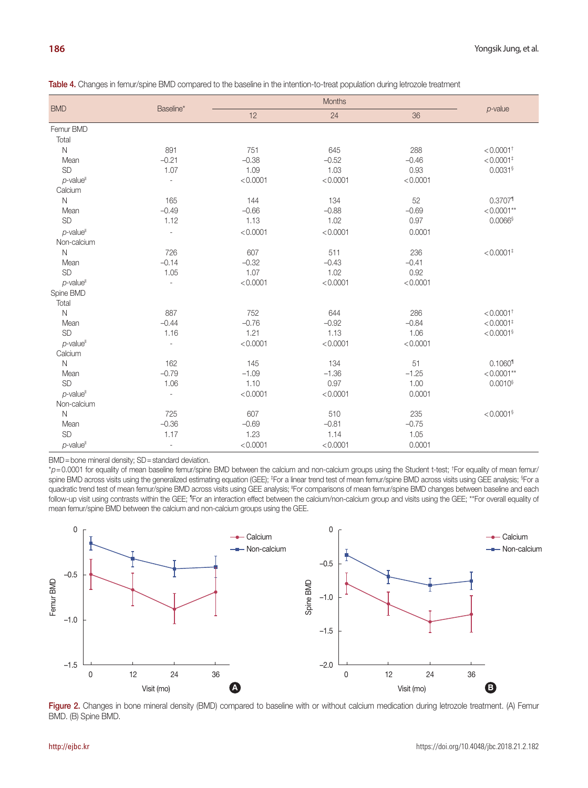| <b>BMD</b>              | Baseline*                | <b>Months</b> |          |          |                         |
|-------------------------|--------------------------|---------------|----------|----------|-------------------------|
|                         |                          | 12            | 24       | 36       | $p$ -value              |
| Femur BMD               |                          |               |          |          |                         |
| Total                   |                          |               |          |          |                         |
| $\mathsf N$             | 891                      | 751           | 645      | 288      | $< 0.0001$ <sup>+</sup> |
| Mean                    | $-0.21$                  | $-0.38$       | $-0.52$  | $-0.46$  | $< 0.0001$ <sup>+</sup> |
| <b>SD</b>               | 1.07                     | 1.09          | 1.03     | 0.93     | $0.0031$ §              |
| $p$ -value <sup>®</sup> | $\overline{a}$           | < 0.0001      | < 0.0001 | < 0.0001 |                         |
| Calcium                 |                          |               |          |          |                         |
| $\mathsf{N}$            | 165                      | 144           | 134      | 52       | $0.3707$ <sup>1</sup>   |
| Mean                    | $-0.49$                  | $-0.66$       | $-0.88$  | $-0.69$  | $< 0.0001**$            |
| <b>SD</b>               | 1.12                     | 1.13          | 1.02     | 0.97     | $0.0066$ §              |
| $p$ -value              | ÷,                       | < 0.0001      | < 0.0001 | 0.0001   |                         |
| Non-calcium             |                          |               |          |          |                         |
| $\mathsf N$             | 726                      | 607           | 511      | 236      | $< 0.0001$ <sup>‡</sup> |
| Mean                    | $-0.14$                  | $-0.32$       | $-0.43$  | $-0.41$  |                         |
| <b>SD</b>               | 1.05                     | 1.07          | 1.02     | 0.92     |                         |
| $p$ -value              | $\overline{\phantom{a}}$ | < 0.0001      | < 0.0001 | < 0.0001 |                         |
| Spine BMD               |                          |               |          |          |                         |
| Total                   |                          |               |          |          |                         |
| $\mathsf{N}$            | 887                      | 752           | 644      | 286      | $< 0.0001$ <sup>+</sup> |
| Mean                    | $-0.44$                  | $-0.76$       | $-0.92$  | $-0.84$  | $< 0.0001$ <sup>+</sup> |
| SD                      | 1.16                     | 1.21          | 1.13     | 1.06     | $< 0.0001$ §            |
| $p$ -value <sup>"</sup> | ÷,                       | < 0.0001      | < 0.0001 | < 0.0001 |                         |
| Calcium                 |                          |               |          |          |                         |
| $\mathsf{N}$            | 162                      | 145           | 134      | 51       | $0.1060$ <sup>1</sup>   |
| Mean                    | $-0.79$                  | $-1.09$       | $-1.36$  | $-1.25$  | $< 0.0001**$            |
| <b>SD</b>               | 1.06                     | 1.10          | 0.97     | 1.00     | $0.0010$ <sup>§</sup>   |
| $p$ -value              | $\overline{\phantom{a}}$ | < 0.0001      | < 0.0001 | 0.0001   |                         |
| Non-calcium             |                          |               |          |          |                         |
| $\mathsf{N}$            | 725                      | 607           | 510      | 235      | $< 0.0001$ §            |
| Mean                    | $-0.36$                  | $-0.69$       | $-0.81$  | $-0.75$  |                         |
| <b>SD</b>               | 1.17                     | 1.23          | 1.14     | 1.05     |                         |
| $p$ -value <sup>"</sup> | $\overline{\phantom{a}}$ | < 0.0001      | < 0.0001 | 0.0001   |                         |

Table 4. Changes in femur/spine BMD compared to the baseline in the intention-to-treat population during letrozole treatment

BMD=bone mineral density; SD=standard deviation.

\**p*=0.0001 for equality of mean baseline femur/spine BMD between the calcium and non-calcium groups using the Student t-test; † For equality of mean femur/ spine BMD across visits using the generalized estimating equation (GEE); ‡For a linear trend test of mean femur/spine BMD across visits using GEE analysis; <sup>§</sup>For a quadratic trend test of mean femur/spine BMD across visits using GEE analysis; "For comparisons of mean femur/spine BMD changes between baseline and each follow-up visit using contrasts within the GEE; <sup>1</sup>For an interaction effect between the calcium/non-calcium group and visits using the GEE; \*\*For overall equality of mean femur/spine BMD between the calcium and non-calcium groups using the GEE.



Figure 2. Changes in bone mineral density (BMD) compared to baseline with or without calcium medication during letrozole treatment. (A) Femur BMD. (B) Spine BMD.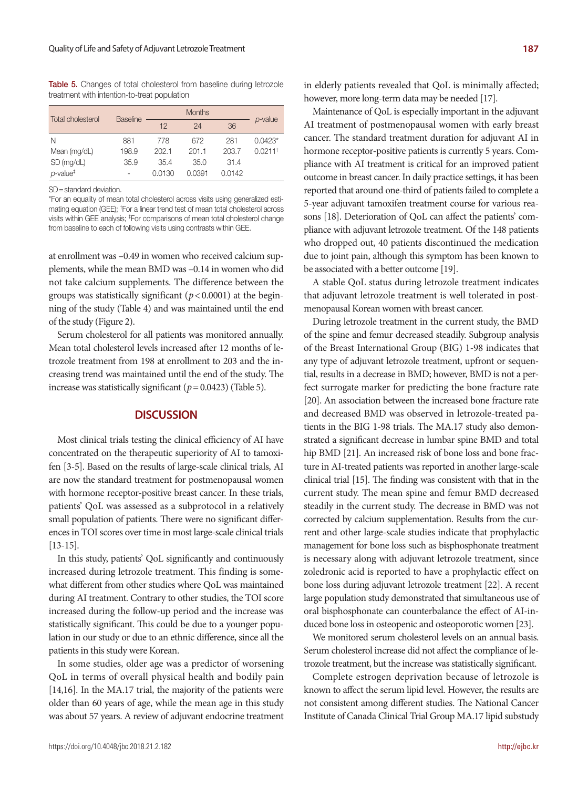Table 5. Changes of total cholesterol from baseline during letrozole treatment with intention-to-treat population

| Total cholesterol                           | <b>Baseline</b> | <b>Months</b> |        |        |           |
|---------------------------------------------|-----------------|---------------|--------|--------|-----------|
|                                             |                 | 12            | 24     | 36     | p-value   |
| N                                           | 881             | 778           | 672    | 281    | $0.0423*$ |
| Mean (mg/dL)                                | 198.9           | 202.1         | 201.1  | 203.7  | 0.0211    |
| SD (mg/dL)                                  | 35.9            | 35.4          | 35.0   | 31.4   |           |
| $p$ -value <sup><math>\ddagger</math></sup> | ۰               | 0.0130        | 0.0391 | 0.0142 |           |

SD=standard deviation.

\*For an equality of mean total cholesterol across visits using generalized estimating equation (GEE); † For a linear trend test of mean total cholesterol across visits within GEE analysis; ‡ For comparisons of mean total cholesterol change from baseline to each of following visits using contrasts within GEE.

at enrollment was –0.49 in women who received calcium supplements, while the mean BMD was –0.14 in women who did not take calcium supplements. The difference between the groups was statistically significant (*p*< 0.0001) at the beginning of the study (Table 4) and was maintained until the end of the study (Figure 2).

Serum cholesterol for all patients was monitored annually. Mean total cholesterol levels increased after 12 months of letrozole treatment from 198 at enrollment to 203 and the increasing trend was maintained until the end of the study. The increase was statistically significant  $(p = 0.0423)$  (Table 5).

### **DISCUSSION**

Most clinical trials testing the clinical efficiency of AI have concentrated on the therapeutic superiority of AI to tamoxifen [3-5]. Based on the results of large-scale clinical trials, AI are now the standard treatment for postmenopausal women with hormone receptor-positive breast cancer. In these trials, patients' QoL was assessed as a subprotocol in a relatively small population of patients. There were no significant differences in TOI scores over time in most large-scale clinical trials [13-15].

In this study, patients' QoL significantly and continuously increased during letrozole treatment. This finding is somewhat different from other studies where QoL was maintained during AI treatment. Contrary to other studies, the TOI score increased during the follow-up period and the increase was statistically significant. This could be due to a younger population in our study or due to an ethnic difference, since all the patients in this study were Korean.

In some studies, older age was a predictor of worsening QoL in terms of overall physical health and bodily pain [14,16]. In the MA.17 trial, the majority of the patients were older than 60 years of age, while the mean age in this study was about 57 years. A review of adjuvant endocrine treatment

in elderly patients revealed that QoL is minimally affected; however, more long-term data may be needed [17].

Maintenance of QoL is especially important in the adjuvant AI treatment of postmenopausal women with early breast cancer. The standard treatment duration for adjuvant AI in hormone receptor-positive patients is currently 5 years. Compliance with AI treatment is critical for an improved patient outcome in breast cancer. In daily practice settings, it has been reported that around one-third of patients failed to complete a 5-year adjuvant tamoxifen treatment course for various reasons [18]. Deterioration of QoL can affect the patients' compliance with adjuvant letrozole treatment. Of the 148 patients who dropped out, 40 patients discontinued the medication due to joint pain, although this symptom has been known to be associated with a better outcome [19].

A stable QoL status during letrozole treatment indicates that adjuvant letrozole treatment is well tolerated in postmenopausal Korean women with breast cancer.

During letrozole treatment in the current study, the BMD of the spine and femur decreased steadily. Subgroup analysis of the Breast International Group (BIG) 1-98 indicates that any type of adjuvant letrozole treatment, upfront or sequential, results in a decrease in BMD; however, BMD is not a perfect surrogate marker for predicting the bone fracture rate [20]. An association between the increased bone fracture rate and decreased BMD was observed in letrozole-treated patients in the BIG 1-98 trials. The MA.17 study also demonstrated a significant decrease in lumbar spine BMD and total hip BMD [21]. An increased risk of bone loss and bone fracture in AI-treated patients was reported in another large-scale clinical trial [15]. The finding was consistent with that in the current study. The mean spine and femur BMD decreased steadily in the current study. The decrease in BMD was not corrected by calcium supplementation. Results from the current and other large-scale studies indicate that prophylactic management for bone loss such as bisphosphonate treatment is necessary along with adjuvant letrozole treatment, since zoledronic acid is reported to have a prophylactic effect on bone loss during adjuvant letrozole treatment [22]. A recent large population study demonstrated that simultaneous use of oral bisphosphonate can counterbalance the effect of AI-induced bone loss in osteopenic and osteoporotic women [23].

We monitored serum cholesterol levels on an annual basis. Serum cholesterol increase did not affect the compliance of letrozole treatment, but the increase was statistically significant.

Complete estrogen deprivation because of letrozole is known to affect the serum lipid level. However, the results are not consistent among different studies. The National Cancer Institute of Canada Clinical Trial Group MA.17 lipid substudy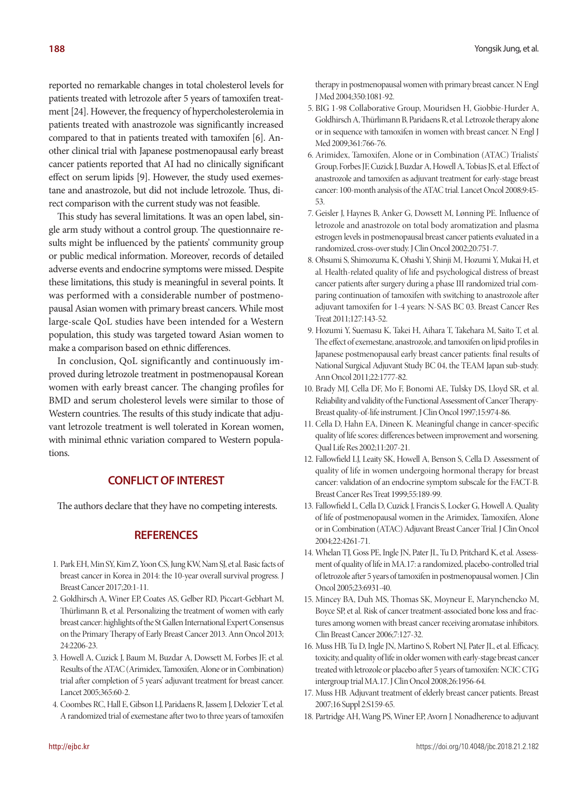reported no remarkable changes in total cholesterol levels for patients treated with letrozole after 5 years of tamoxifen treatment [24]. However, the frequency of hypercholesterolemia in patients treated with anastrozole was significantly increased compared to that in patients treated with tamoxifen [6]. Another clinical trial with Japanese postmenopausal early breast cancer patients reported that AI had no clinically significant effect on serum lipids [9]. However, the study used exemestane and anastrozole, but did not include letrozole. Thus, direct comparison with the current study was not feasible.

This study has several limitations. It was an open label, single arm study without a control group. The questionnaire results might be influenced by the patients' community group or public medical information. Moreover, records of detailed adverse events and endocrine symptoms were missed. Despite these limitations, this study is meaningful in several points. It was performed with a considerable number of postmenopausal Asian women with primary breast cancers. While most large-scale QoL studies have been intended for a Western population, this study was targeted toward Asian women to make a comparison based on ethnic differences.

In conclusion, QoL significantly and continuously improved during letrozole treatment in postmenopausal Korean women with early breast cancer. The changing profiles for BMD and serum cholesterol levels were similar to those of Western countries. The results of this study indicate that adjuvant letrozole treatment is well tolerated in Korean women, with minimal ethnic variation compared to Western populations.

# **CONFLICT OF INTEREST**

The authors declare that they have no competing interests.

## **REFERENCES**

- 1. Park EH, Min SY, Kim Z, Yoon CS, Jung KW, Nam SJ, et al. Basic facts of breast cancer in Korea in 2014: the 10-year overall survival progress. J Breast Cancer 2017;20:1-11.
- 2. Goldhirsch A, Winer EP, Coates AS, Gelber RD, Piccart-Gebhart M, Thürlimann B, et al. Personalizing the treatment of women with early breast cancer: highlights of the St Gallen International Expert Consensus on the Primary Therapy of Early Breast Cancer 2013. Ann Oncol 2013; 24:2206-23.
- 3. Howell A, Cuzick J, Baum M, Buzdar A, Dowsett M, Forbes JF, et al. Results of the ATAC (Arimidex, Tamoxifen, Alone or in Combination) trial after completion of 5 years' adjuvant treatment for breast cancer. Lancet 2005;365:60-2.
- 4. Coombes RC, Hall E, Gibson LJ, Paridaens R, Jassem J, Delozier T, et al. A randomized trial of exemestane after two to three years of tamoxifen

therapy in postmenopausal women with primary breast cancer. N Engl J Med 2004;350:1081-92.

- 5. BIG 1-98 Collaborative Group, Mouridsen H, Giobbie-Hurder A, Goldhirsch A, Thürlimann B, Paridaens R, et al. Letrozole therapy alone or in sequence with tamoxifen in women with breast cancer. N Engl J Med 2009;361:766-76.
- 6. Arimidex, Tamoxifen, Alone or in Combination (ATAC) Trialists' Group, Forbes JF, Cuzick J, Buzdar A, Howell A, Tobias JS, et al. Effect of anastrozole and tamoxifen as adjuvant treatment for early-stage breast cancer: 100-month analysis of the ATAC trial. Lancet Oncol 2008;9:45- 53.
- 7. Geisler J, Haynes B, Anker G, Dowsett M, Lønning PE. Influence of letrozole and anastrozole on total body aromatization and plasma estrogen levels in postmenopausal breast cancer patients evaluated in a randomized, cross-over study. J Clin Oncol 2002;20:751-7.
- 8. Ohsumi S, Shimozuma K, Ohashi Y, Shinji M, Hozumi Y, Mukai H, et al. Health-related quality of life and psychological distress of breast cancer patients after surgery during a phase III randomized trial comparing continuation of tamoxifen with switching to anastrozole after adjuvant tamoxifen for 1-4 years: N-SAS BC 03. Breast Cancer Res Treat 2011;127:143-52.
- 9. Hozumi Y, Suemasu K, Takei H, Aihara T, Takehara M, Saito T, et al. The effect of exemestane, anastrozole, and tamoxifen on lipid profiles in Japanese postmenopausal early breast cancer patients: final results of National Surgical Adjuvant Study BC 04, the TEAM Japan sub-study. Ann Oncol 2011;22:1777-82.
- 10. Brady MJ, Cella DF, Mo F, Bonomi AE, Tulsky DS, Lloyd SR, et al. Reliability and validity of the Functional Assessment of Cancer Therapy-Breast quality-of-life instrument. J Clin Oncol 1997;15:974-86.
- 11. Cella D, Hahn EA, Dineen K. Meaningful change in cancer-specific quality of life scores: differences between improvement and worsening. Qual Life Res 2002;11:207-21.
- 12. Fallowfield LJ, Leaity SK, Howell A, Benson S, Cella D. Assessment of quality of life in women undergoing hormonal therapy for breast cancer: validation of an endocrine symptom subscale for the FACT-B. Breast Cancer Res Treat 1999;55:189-99.
- 13. Fallowfield L, Cella D, Cuzick J, Francis S, Locker G, Howell A. Quality of life of postmenopausal women in the Arimidex, Tamoxifen, Alone or in Combination (ATAC) Adjuvant Breast Cancer Trial. J Clin Oncol 2004;22:4261-71.
- 14. Whelan TJ, Goss PE, Ingle JN, Pater JL, Tu D, Pritchard K, et al. Assessment of quality of life in MA.17: a randomized, placebo-controlled trial of letrozole after 5 years of tamoxifen in postmenopausal women. J Clin Oncol 2005;23:6931-40.
- 15. Mincey BA, Duh MS, Thomas SK, Moyneur E, Marynchencko M, Boyce SP, et al. Risk of cancer treatment-associated bone loss and fractures among women with breast cancer receiving aromatase inhibitors. Clin Breast Cancer 2006;7:127-32.
- 16. Muss HB, Tu D, Ingle JN, Martino S, Robert NJ, Pater JL, et al. Efficacy, toxicity, and quality of life in older women with early-stage breast cancer treated with letrozole or placebo after 5 years of tamoxifen: NCIC CTG intergroup trial MA.17. J Clin Oncol 2008;26:1956-64.
- 17. Muss HB. Adjuvant treatment of elderly breast cancer patients. Breast 2007;16 Suppl 2:S159-65.
- 18. Partridge AH, Wang PS, Winer EP, Avorn J. Nonadherence to adjuvant